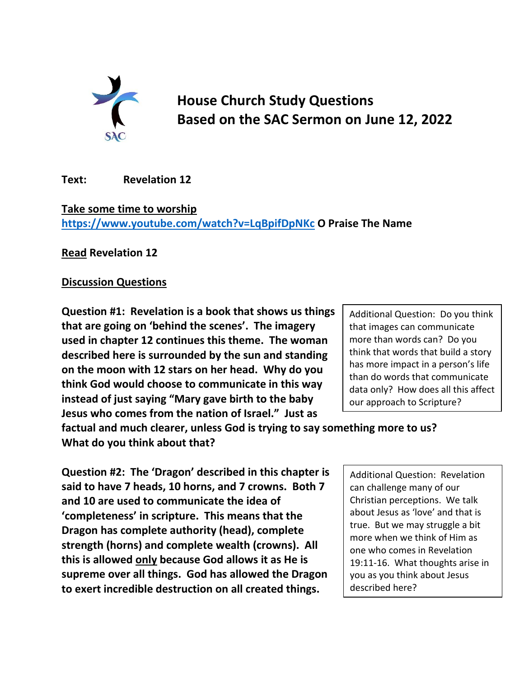

## **House Church Study Questions Based on the SAC Sermon on June 12, 2022**

**Text: Revelation 12**

**Take some time to worship <https://www.youtube.com/watch?v=LqBpifDpNKc> O Praise The Name**

**Read Revelation 12**

## **Discussion Questions**

**Question #1: Revelation is a book that shows us things that are going on 'behind the scenes'. The imagery used in chapter 12 continues this theme. The woman described here is surrounded by the sun and standing on the moon with 12 stars on her head. Why do you think God would choose to communicate in this way instead of just saying "Mary gave birth to the baby Jesus who comes from the nation of Israel." Just as** 

Additional Question: Do you think that images can communicate more than words can? Do you think that words that build a story has more impact in a person's life than do words that communicate data only? How does all this affect our approach to Scripture?

**factual and much clearer, unless God is trying to say something more to us? What do you think about that?**

**Question #2: The 'Dragon' described in this chapter is said to have 7 heads, 10 horns, and 7 crowns. Both 7 and 10 are used to communicate the idea of 'completeness' in scripture. This means that the Dragon has complete authority (head), complete strength (horns) and complete wealth (crowns). All this is allowed only because God allows it as He is supreme over all things. God has allowed the Dragon to exert incredible destruction on all created things.** 

Additional Question: Revelation can challenge many of our Christian perceptions. We talk about Jesus as 'love' and that is true. But we may struggle a bit more when we think of Him as one who comes in Revelation 19:11-16. What thoughts arise in you as you think about Jesus described here?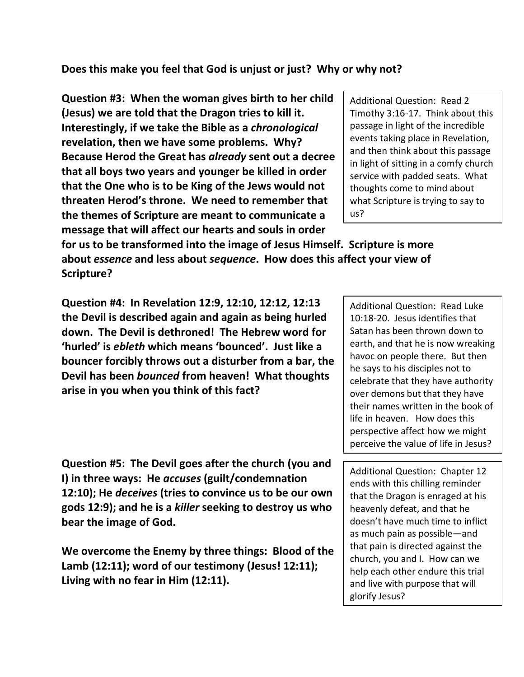## **Does this make you feel that God is unjust or just? Why or why not?**

**Question #3: When the woman gives birth to her child (Jesus) we are told that the Dragon tries to kill it. Interestingly, if we take the Bible as a** *chronological* **revelation, then we have some problems. Why? Because Herod the Great has** *already* **sent out a decree that all boys two years and younger be killed in order that the One who is to be King of the Jews would not threaten Herod's throne. We need to remember that the themes of Scripture are meant to communicate a message that will affect our hearts and souls in order** 

**for us to be transformed into the image of Jesus Himself. Scripture is more about** *essence* **and less about** *sequence***. How does this affect your view of Scripture?**

**Question #4: In Revelation 12:9, 12:10, 12:12, 12:13 the Devil is described again and again as being hurled down. The Devil is dethroned! The Hebrew word for 'hurled' is** *ebleth* **which means 'bounced'. Just like a bouncer forcibly throws out a disturber from a bar, the Devil has been** *bounced* **from heaven! What thoughts arise in you when you think of this fact?**

**Question #5: The Devil goes after the church (you and I) in three ways: He** *accuses* **(guilt/condemnation 12:10); He** *deceives* **(tries to convince us to be our own gods 12:9); and he is a** *killer* **seeking to destroy us who bear the image of God.**

**We overcome the Enemy by three things: Blood of the Lamb (12:11); word of our testimony (Jesus! 12:11); Living with no fear in Him (12:11).** 

Additional Question: Read 2 Timothy 3:16-17. Think about this passage in light of the incredible events taking place in Revelation, and then think about this passage in light of sitting in a comfy church service with padded seats. What thoughts come to mind about what Scripture is trying to say to us?

Additional Question: Read Luke 10:18-20. Jesus identifies that Satan has been thrown down to earth, and that he is now wreaking havoc on people there. But then he says to his disciples not to celebrate that they have authority over demons but that they have their names written in the book of life in heaven. How does this perspective affect how we might perceive the value of life in Jesus?

Additional Question: Chapter 12 ends with this chilling reminder that the Dragon is enraged at his heavenly defeat, and that he doesn't have much time to inflict as much pain as possible—and that pain is directed against the church, you and I. How can we help each other endure this trial and live with purpose that will glorify Jesus?